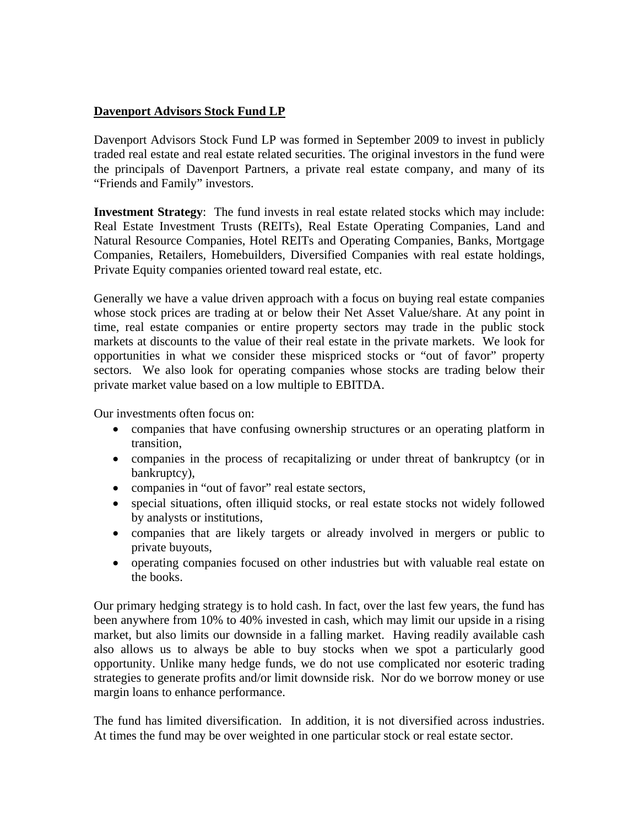## **Davenport Advisors Stock Fund LP**

Davenport Advisors Stock Fund LP was formed in September 2009 to invest in publicly traded real estate and real estate related securities. The original investors in the fund were the principals of Davenport Partners, a private real estate company, and many of its "Friends and Family" investors.

**Investment Strategy**: The fund invests in real estate related stocks which may include: Real Estate Investment Trusts (REITs), Real Estate Operating Companies, Land and Natural Resource Companies, Hotel REITs and Operating Companies, Banks, Mortgage Companies, Retailers, Homebuilders, Diversified Companies with real estate holdings, Private Equity companies oriented toward real estate, etc.

Generally we have a value driven approach with a focus on buying real estate companies whose stock prices are trading at or below their Net Asset Value/share. At any point in time, real estate companies or entire property sectors may trade in the public stock markets at discounts to the value of their real estate in the private markets. We look for opportunities in what we consider these mispriced stocks or "out of favor" property sectors. We also look for operating companies whose stocks are trading below their private market value based on a low multiple to EBITDA.

Our investments often focus on:

- companies that have confusing ownership structures or an operating platform in transition,
- companies in the process of recapitalizing or under threat of bankruptcy (or in bankruptcy),
- companies in "out of favor" real estate sectors,
- special situations, often illiquid stocks, or real estate stocks not widely followed by analysts or institutions,
- companies that are likely targets or already involved in mergers or public to private buyouts,
- operating companies focused on other industries but with valuable real estate on the books.

Our primary hedging strategy is to hold cash. In fact, over the last few years, the fund has been anywhere from 10% to 40% invested in cash, which may limit our upside in a rising market, but also limits our downside in a falling market. Having readily available cash also allows us to always be able to buy stocks when we spot a particularly good opportunity. Unlike many hedge funds, we do not use complicated nor esoteric trading strategies to generate profits and/or limit downside risk. Nor do we borrow money or use margin loans to enhance performance.

The fund has limited diversification. In addition, it is not diversified across industries. At times the fund may be over weighted in one particular stock or real estate sector.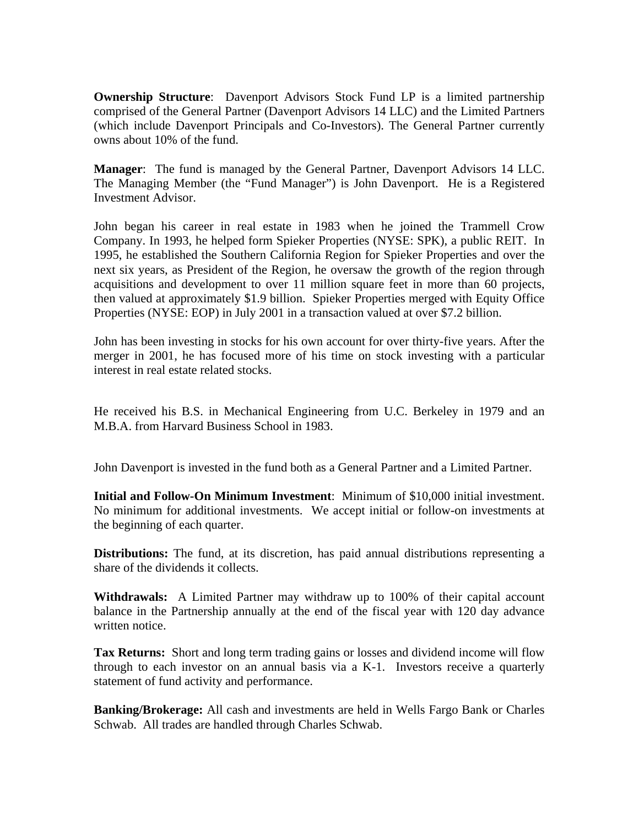**Ownership Structure:** Davenport Advisors Stock Fund LP is a limited partnership comprised of the General Partner (Davenport Advisors 14 LLC) and the Limited Partners (which include Davenport Principals and Co-Investors). The General Partner currently owns about 10% of the fund.

**Manager**: The fund is managed by the General Partner, Davenport Advisors 14 LLC. The Managing Member (the "Fund Manager") is John Davenport. He is a Registered Investment Advisor.

John began his career in real estate in 1983 when he joined the Trammell Crow Company. In 1993, he helped form Spieker Properties (NYSE: SPK), a public REIT. In 1995, he established the Southern California Region for Spieker Properties and over the next six years, as President of the Region, he oversaw the growth of the region through acquisitions and development to over 11 million square feet in more than 60 projects, then valued at approximately \$1.9 billion. Spieker Properties merged with Equity Office Properties (NYSE: EOP) in July 2001 in a transaction valued at over \$7.2 billion.

John has been investing in stocks for his own account for over thirty-five years. After the merger in 2001, he has focused more of his time on stock investing with a particular interest in real estate related stocks.

He received his B.S. in Mechanical Engineering from U.C. Berkeley in 1979 and an M.B.A. from Harvard Business School in 1983.

John Davenport is invested in the fund both as a General Partner and a Limited Partner.

**Initial and Follow-On Minimum Investment**: Minimum of \$10,000 initial investment. No minimum for additional investments. We accept initial or follow-on investments at the beginning of each quarter.

**Distributions:** The fund, at its discretion, has paid annual distributions representing a share of the dividends it collects.

**Withdrawals:** A Limited Partner may withdraw up to 100% of their capital account balance in the Partnership annually at the end of the fiscal year with 120 day advance written notice.

**Tax Returns:** Short and long term trading gains or losses and dividend income will flow through to each investor on an annual basis via a K-1. Investors receive a quarterly statement of fund activity and performance.

**Banking/Brokerage:** All cash and investments are held in Wells Fargo Bank or Charles Schwab. All trades are handled through Charles Schwab.